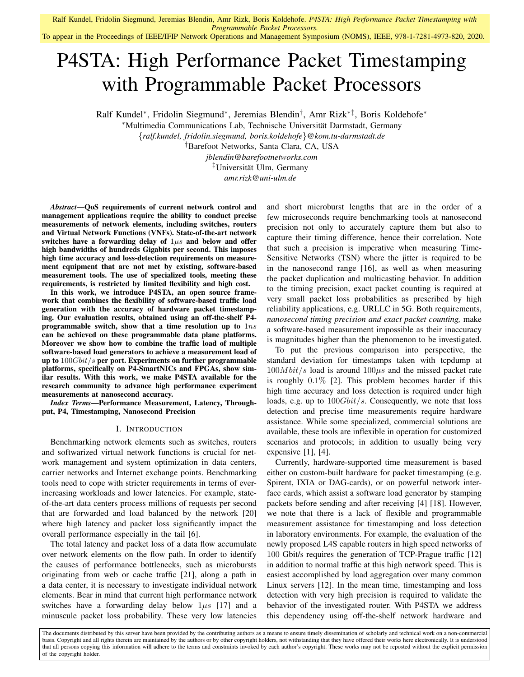## To appear in the Proceedings of IEEE/IFIP Network Operations and Management Symposium (NOMS), IEEE, 978-1-7281-4973-820, 2020.

# P4STA: High Performance Packet Timestamping with Programmable Packet Processors

Ralf Kundel\*, Fridolin Siegmund\*, Jeremias Blendin<sup>†</sup>, Amr Rizk<sup>∗‡</sup>, Boris Koldehofe\*

<sup>∗</sup>Multimedia Communications Lab, Technische Universitat Darmstadt, Germany ¨

{*ralf.kundel, fridolin.siegmund, boris.koldehofe*}*@kom.tu-darmstadt.de*

†Barefoot Networks, Santa Clara, CA, USA

*jblendin@barefootnetworks.com* ‡Universitat Ulm, Germany ¨ *amr.rizk@uni-ulm.de*

*Abstract*—QoS requirements of current network control and management applications require the ability to conduct precise measurements of network elements, including switches, routers and Virtual Network Functions (VNFs). State-of-the-art network switches have a forwarding delay of  $1\mu s$  and below and offer high bandwidths of hundreds Gigabits per second. This imposes high time accuracy and loss-detection requirements on measurement equipment that are not met by existing, software-based measurement tools. The use of specialized tools, meeting these requirements, is restricted by limited flexibility and high cost.

In this work, we introduce P4STA, an open source framework that combines the flexibility of software-based traffic load generation with the accuracy of hardware packet timestamping. Our evaluation results, obtained using an off-the-shelf P4 programmable switch, show that a time resolution up to  $1ns$ can be achieved on these programmable data plane platforms. Moreover we show how to combine the traffic load of multiple software-based load generators to achieve a measurement load of up to  $100Gbit/s$  per port. Experiments on further programmable platforms, specifically on P4-SmartNICs and FPGAs, show similar results. With this work, we make P4STA available for the research community to advance high performance experiment measurements at nanosecond accuracy.

*Index Terms*—Performance Measurement, Latency, Throughput, P4, Timestamping, Nanosecond Precision

## I. INTRODUCTION

Benchmarking network elements such as switches, routers and softwarized virtual network functions is crucial for network management and system optimization in data centers, carrier networks and Internet exchange points. Benchmarking tools need to cope with stricter requirements in terms of everincreasing workloads and lower latencies. For example, stateof-the-art data centers process millions of requests per second that are forwarded and load balanced by the network [20] where high latency and packet loss significantly impact the overall performance especially in the tail [6].

The total latency and packet loss of a data flow accumulate over network elements on the flow path. In order to identify the causes of performance bottlenecks, such as microbursts originating from web or cache traffic [21], along a path in a data center, it is necessary to investigate individual network elements. Bear in mind that current high performance network switches have a forwarding delay below  $1\mu s$  [17] and a minuscule packet loss probability. These very low latencies

and short microburst lengths that are in the order of a few microseconds require benchmarking tools at nanosecond precision not only to accurately capture them but also to capture their timing difference, hence their correlation. Note that such a precision is imperative when measuring Time-Sensitive Networks (TSN) where the jitter is required to be in the nanosecond range [16], as well as when measuring the packet duplication and multicasting behavior. In addition to the timing precision, exact packet counting is required at very small packet loss probabilities as prescribed by high reliability applications, e.g. URLLC in 5G. Both requirements, *nanosecond timing precision and exact packet counting,* make a software-based measurement impossible as their inaccuracy is magnitudes higher than the phenomenon to be investigated.

To put the previous comparison into perspective, the standard deviation for timestamps taken with tcpdump at  $100Mbit/s$  load is around  $100\mu s$  and the missed packet rate is roughly 0.1% [2]. This problem becomes harder if this high time accuracy and loss detection is required under high loads, e.g. up to  $100Gbit/s$ . Consequently, we note that loss detection and precise time measurements require hardware assistance. While some specialized, commercial solutions are available, these tools are inflexible in operation for customized scenarios and protocols; in addition to usually being very expensive  $[1]$ ,  $[4]$ .

Currently, hardware-supported time measurement is based either on custom-built hardware for packet timestamping (e.g. Spirent, IXIA or DAG-cards), or on powerful network interface cards, which assist a software load generator by stamping packets before sending and after receiving [4] [18]. However, we note that there is a lack of flexible and programmable measurement assistance for timestamping and loss detection in laboratory environments. For example, the evaluation of the newly proposed L4S capable routers in high speed networks of 100 Gbit/s requires the generation of TCP-Prague traffic [12] in addition to normal traffic at this high network speed. This is easiest accomplished by load aggregation over many common Linux servers [12]. In the mean time, timestamping and loss detection with very high precision is required to validate the behavior of the investigated router. With P4STA we address this dependency using off-the-shelf network hardware and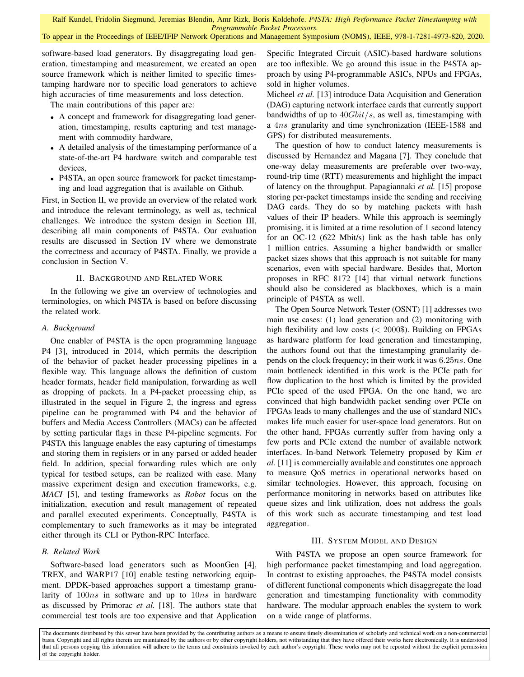To appear in the Proceedings of IEEE/IFIP Network Operations and Management Symposium (NOMS), IEEE, 978-1-7281-4973-820, 2020.

software-based load generators. By disaggregating load generation, timestamping and measurement, we created an open source framework which is neither limited to specific timestamping hardware nor to specific load generators to achieve high accuracies of time measurements and loss detection.

The main contributions of this paper are:

- A concept and framework for disaggregating load generation, timestamping, results capturing and test management with commodity hardware,
- A detailed analysis of the timestamping performance of a state-of-the-art P4 hardware switch and comparable test devices,
- P4STA, an open source framework for packet timestamping and load aggregation that is available on Github.

First, in Section II, we provide an overview of the related work and introduce the relevant terminology, as well as, technical challenges. We introduce the system design in Section III, describing all main components of P4STA. Our evaluation results are discussed in Section IV where we demonstrate the correctness and accuracy of P4STA. Finally, we provide a conclusion in Section V.

## II. BACKGROUND AND RELATED WORK

In the following we give an overview of technologies and terminologies, on which P4STA is based on before discussing the related work.

#### *A. Background*

One enabler of P4STA is the open programming language P4 [3], introduced in 2014, which permits the description of the behavior of packet header processing pipelines in a flexible way. This language allows the definition of custom header formats, header field manipulation, forwarding as well as dropping of packets. In a P4-packet processing chip, as illustrated in the sequel in Figure 2, the ingress and egress pipeline can be programmed with P4 and the behavior of buffers and Media Access Controllers (MACs) can be affected by setting particular flags in these P4-pipeline segments. For P4STA this language enables the easy capturing of timestamps and storing them in registers or in any parsed or added header field. In addition, special forwarding rules which are only typical for testbed setups, can be realized with ease. Many massive experiment design and execution frameworks, e.g. *MACI* [5], and testing frameworks as *Robot* focus on the initialization, execution and result management of repeated and parallel executed experiments. Conceptually, P4STA is complementary to such frameworks as it may be integrated either through its CLI or Python-RPC Interface.

## *B. Related Work*

Software-based load generators such as MoonGen [4], TREX, and WARP17 [10] enable testing networking equipment. DPDK-based approaches support a timestamp granularity of 100*ns* in software and up to 10*ns* in hardware as discussed by Primorac *et al.* [18]. The authors state that commercial test tools are too expensive and that Application Specific Integrated Circuit (ASIC)-based hardware solutions are too inflexible. We go around this issue in the P4STA approach by using P4-programmable ASICs, NPUs and FPGAs, sold in higher volumes.

Micheel *et al.* [13] introduce Data Acquisition and Generation (DAG) capturing network interface cards that currently support bandwidths of up to  $40Gbit/s$ , as well as, timestamping with a 4ns granularity and time synchronization (IEEE-1588 and GPS) for distributed measurements.

The question of how to conduct latency measurements is discussed by Hernandez and Magana [7]. They conclude that one-way delay measurements are preferable over two-way, round-trip time (RTT) measurements and highlight the impact of latency on the throughput. Papagiannaki *et al.* [15] propose storing per-packet timestamps inside the sending and receiving DAG cards. They do so by matching packets with hash values of their IP headers. While this approach is seemingly promising, it is limited at a time resolution of 1 second latency for an OC-12 (622 Mbit/s) link as the hash table has only 1 million entries. Assuming a higher bandwidth or smaller packet sizes shows that this approach is not suitable for many scenarios, even with special hardware. Besides that, Morton proposes in RFC 8172 [14] that virtual network functions should also be considered as blackboxes, which is a main principle of P4STA as well.

The Open Source Network Tester (OSNT) [1] addresses two main use cases: (1) load generation and (2) monitoring with high flexibility and low costs  $(< 2000$ \$). Building on FPGAs as hardware platform for load generation and timestamping, the authors found out that the timestamping granularity depends on the clock frequency; in their work it was 6.25ns. One main bottleneck identified in this work is the PCIe path for flow duplication to the host which is limited by the provided PCIe speed of the used FPGA. On the one hand, we are convinced that high bandwidth packet sending over PCIe on FPGAs leads to many challenges and the use of standard NICs makes life much easier for user-space load generators. But on the other hand, FPGAs currently suffer from having only a few ports and PCIe extend the number of available network interfaces. In-band Network Telemetry proposed by Kim *et al.* [11] is commercially available and constitutes one approach to measure QoS metrics in operational networks based on similar technologies. However, this approach, focusing on performance monitoring in networks based on attributes like queue sizes and link utilization, does not address the goals of this work such as accurate timestamping and test load aggregation.

#### III. SYSTEM MODEL AND DESIGN

With P4STA we propose an open source framework for high performance packet timestamping and load aggregation. In contrast to existing approaches, the P4STA model consists of different functional components which disaggregate the load generation and timestamping functionality with commodity hardware. The modular approach enables the system to work on a wide range of platforms.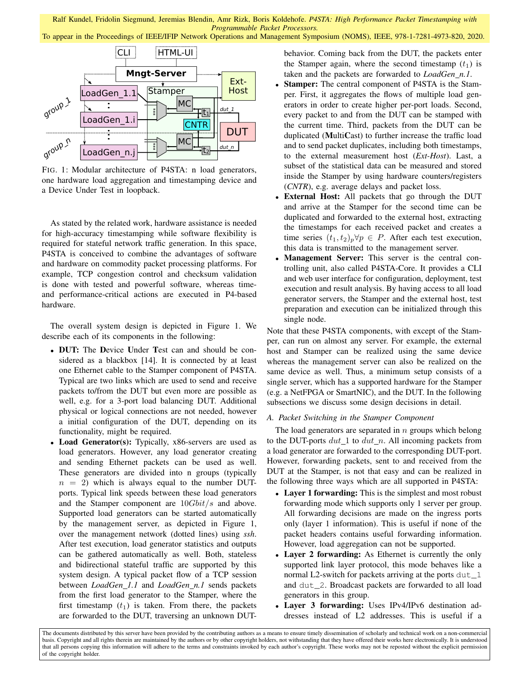To appear in the Proceedings of IEEE/IFIP Network Operations and Management Symposium (NOMS), IEEE, 978-1-7281-4973-820, 2020.



FIG. 1: Modular architecture of P4STA: n load generators, one hardware load aggregation and timestamping device and a Device Under Test in loopback.

As stated by the related work, hardware assistance is needed for high-accuracy timestamping while software flexibility is required for stateful network traffic generation. In this space, P4STA is conceived to combine the advantages of software and hardware on commodity packet processing platforms. For example, TCP congestion control and checksum validation is done with tested and powerful software, whereas timeand performance-critical actions are executed in P4-based hardware.

The overall system design is depicted in Figure 1. We describe each of its components in the following:

- DUT: The Device Under Test can and should be considered as a blackbox [14]. It is connected by at least one Ethernet cable to the Stamper component of P4STA. Typical are two links which are used to send and receive packets to/from the DUT but even more are possible as well, e.g. for a 3-port load balancing DUT. Additional physical or logical connections are not needed, however a initial configuration of the DUT, depending on its functionality, might be required.
- Load Generator(s): Typically, x86-servers are used as load generators. However, any load generator creating and sending Ethernet packets can be used as well. These generators are divided into n groups (typically  $n = 2$ ) which is always equal to the number DUTports. Typical link speeds between these load generators and the Stamper component are  $10Gbit/s$  and above. Supported load generators can be started automatically by the management server, as depicted in Figure 1, over the management network (dotted lines) using *ssh*. After test execution, load generator statistics and outputs can be gathered automatically as well. Both, stateless and bidirectional stateful traffic are supported by this system design. A typical packet flow of a TCP session between *LoadGen\_1.1* and *LoadGen\_n.1* sends packets from the first load generator to the Stamper, where the first timestamp  $(t_1)$  is taken. From there, the packets are forwarded to the DUT, traversing an unknown DUT-

behavior. Coming back from the DUT, the packets enter the Stamper again, where the second timestamp  $(t_1)$  is taken and the packets are forwarded to *LoadGen n.1*.

- Stamper: The central component of P4STA is the Stamper. First, it aggregates the flows of multiple load generators in order to create higher per-port loads. Second, every packet to and from the DUT can be stamped with the current time. Third, packets from the DUT can be duplicated (MultiCast) to further increase the traffic load and to send packet duplicates, including both timestamps, to the external measurement host (*Ext-Host*). Last, a subset of the statistical data can be measured and stored inside the Stamper by using hardware counters/registers (*CNTR*), e.g. average delays and packet loss.
- External Host: All packets that go through the DUT and arrive at the Stamper for the second time can be duplicated and forwarded to the external host, extracting the timestamps for each received packet and creates a time series  $(t_1, t_2)_p \forall p \in P$ . After each test execution, this data is transmitted to the management server.
- Management Server: This server is the central controlling unit, also called P4STA-Core. It provides a CLI and web user interface for configuration, deployment, test execution and result analysis. By having access to all load generator servers, the Stamper and the external host, test preparation and execution can be initialized through this single node.

Note that these P4STA components, with except of the Stamper, can run on almost any server. For example, the external host and Stamper can be realized using the same device whereas the management server can also be realized on the same device as well. Thus, a minimum setup consists of a single server, which has a supported hardware for the Stamper (e.g. a NetFPGA or SmartNIC), and the DUT. In the following subsections we discuss some design decisions in detail.

## *A. Packet Switching in the Stamper Component*

The load generators are separated in  $n$  groups which belong to the DUT-ports  $dut_1$  to  $dut_n$ . All incoming packets from a load generator are forwarded to the corresponding DUT-port. However, forwarding packets, sent to and received from the DUT at the Stamper, is not that easy and can be realized in the following three ways which are all supported in P4STA:

- Layer 1 forwarding: This is the simplest and most robust forwarding mode which supports only 1 server per group. All forwarding decisions are made on the ingress ports only (layer 1 information). This is useful if none of the packet headers contains useful forwarding information. However, load aggregation can not be supported.
- Layer 2 forwarding: As Ethernet is currently the only supported link layer protocol, this mode behaves like a normal L2-switch for packets arriving at the ports dut 1 and dut\_2. Broadcast packets are forwarded to all load generators in this group.
- Layer 3 forwarding: Uses IPv4/IPv6 destination addresses instead of L2 addresses. This is useful if a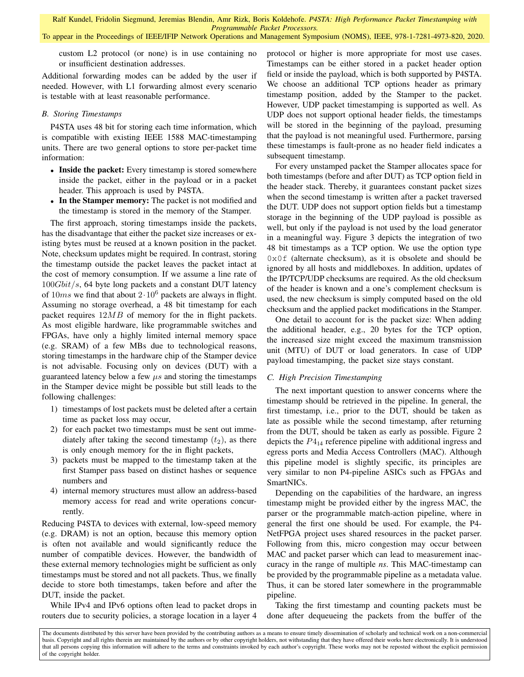To appear in the Proceedings of IEEE/IFIP Network Operations and Management Symposium (NOMS), IEEE, 978-1-7281-4973-820, 2020.

custom L2 protocol (or none) is in use containing no or insufficient destination addresses.

Additional forwarding modes can be added by the user if needed. However, with L1 forwarding almost every scenario is testable with at least reasonable performance.

#### *B. Storing Timestamps*

P4STA uses 48 bit for storing each time information, which is compatible with existing IEEE 1588 MAC-timestamping units. There are two general options to store per-packet time information:

- Inside the packet: Every timestamp is stored somewhere inside the packet, either in the payload or in a packet header. This approach is used by P4STA.
- In the Stamper memory: The packet is not modified and the timestamp is stored in the memory of the Stamper.

The first approach, storing timestamps inside the packets, has the disadvantage that either the packet size increases or existing bytes must be reused at a known position in the packet. Note, checksum updates might be required. In contrast, storing the timestamp outside the packet leaves the packet intact at the cost of memory consumption. If we assume a line rate of  $100Gbit/s$ , 64 byte long packets and a constant DUT latency of  $10ms$  we find that about  $2.10^6$  packets are always in flight. Assuming no storage overhead, a 48 bit timestamp for each packet requires  $12MB$  of memory for the in flight packets. As most eligible hardware, like programmable switches and FPGAs, have only a highly limited internal memory space (e.g. SRAM) of a few MBs due to technological reasons, storing timestamps in the hardware chip of the Stamper device is not advisable. Focusing only on devices (DUT) with a guaranteed latency below a few  $\mu s$  and storing the timestamps in the Stamper device might be possible but still leads to the following challenges:

- 1) timestamps of lost packets must be deleted after a certain time as packet loss may occur,
- 2) for each packet two timestamps must be sent out immediately after taking the second timestamp  $(t_2)$ , as there is only enough memory for the in flight packets,
- 3) packets must be mapped to the timestamp taken at the first Stamper pass based on distinct hashes or sequence numbers and
- 4) internal memory structures must allow an address-based memory access for read and write operations concurrently.

Reducing P4STA to devices with external, low-speed memory (e.g. DRAM) is not an option, because this memory option is often not available and would significantly reduce the number of compatible devices. However, the bandwidth of these external memory technologies might be sufficient as only timestamps must be stored and not all packets. Thus, we finally decide to store both timestamps, taken before and after the DUT, inside the packet.

While IPv4 and IPv6 options often lead to packet drops in routers due to security policies, a storage location in a layer 4 protocol or higher is more appropriate for most use cases. Timestamps can be either stored in a packet header option field or inside the payload, which is both supported by P4STA. We choose an additional TCP options header as primary timestamp position, added by the Stamper to the packet. However, UDP packet timestamping is supported as well. As UDP does not support optional header fields, the timestamps will be stored in the beginning of the payload, presuming that the payload is not meaningful used. Furthermore, parsing these timestamps is fault-prone as no header field indicates a subsequent timestamp.

For every unstamped packet the Stamper allocates space for both timestamps (before and after DUT) as TCP option field in the header stack. Thereby, it guarantees constant packet sizes when the second timestamp is written after a packet traversed the DUT. UDP does not support option fields but a timestamp storage in the beginning of the UDP payload is possible as well, but only if the payload is not used by the load generator in a meaningful way. Figure 3 depicts the integration of two 48 bit timestamps as a TCP option. We use the option type 0x0f (alternate checksum), as it is obsolete and should be ignored by all hosts and middleboxes. In addition, updates of the IP/TCP/UDP checksums are required. As the old checksum of the header is known and a one's complement checksum is used, the new checksum is simply computed based on the old checksum and the applied packet modifications in the Stamper.

One detail to account for is the packet size: When adding the additional header, e.g., 20 bytes for the TCP option, the increased size might exceed the maximum transmission unit (MTU) of DUT or load generators. In case of UDP payload timestamping, the packet size stays constant.

#### *C. High Precision Timestamping*

The next important question to answer concerns where the timestamp should be retrieved in the pipeline. In general, the first timestamp, i.e., prior to the DUT, should be taken as late as possible while the second timestamp, after returning from the DUT, should be taken as early as possible. Figure 2 depicts the  $P_{14}$  reference pipeline with additional ingress and egress ports and Media Access Controllers (MAC). Although this pipeline model is slightly specific, its principles are very similar to non P4-pipeline ASICs such as FPGAs and SmartNICs.

Depending on the capabilities of the hardware, an ingress timestamp might be provided either by the ingress MAC, the parser or the programmable match-action pipeline, where in general the first one should be used. For example, the P4- NetFPGA project uses shared resources in the packet parser. Following from this, micro congestion may occur between MAC and packet parser which can lead to measurement inaccuracy in the range of multiple *ns*. This MAC-timestamp can be provided by the programmable pipeline as a metadata value. Thus, it can be stored later somewhere in the programmable pipeline.

Taking the first timestamp and counting packets must be done after dequeueing the packets from the buffer of the

The documents distributed by this server have been provided by the contributing authors as a means to ensure timely dissemination of scholarly and technical work on a non-commercial basis. Copyright and all rights therein are maintained by the authors or by other copyright holders, not withstanding that they have offered their works here electronically. It is understood that all persons copying this information will adhere to the terms and constraints invoked by each author's copyright. These works may not be reposted without the explicit permission of the copyright holder.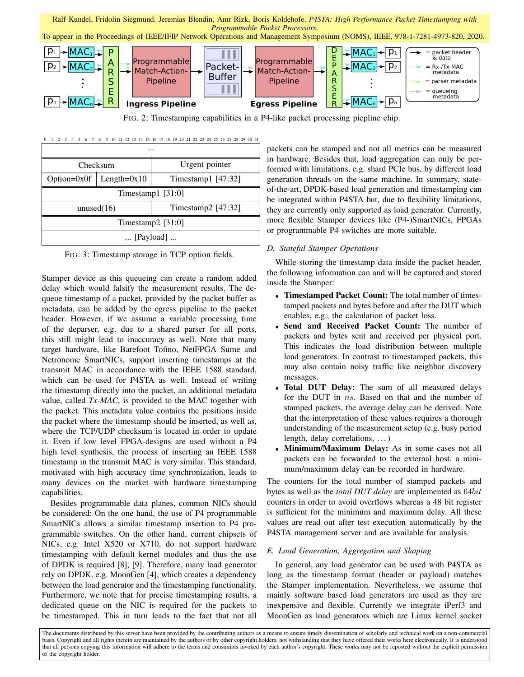To appear in the Proceedings of IEEE/IFIP Network Operations and Management Symposium (NOMS), IEEE, 978-1-7281-4973-820, 2020.



FIG. 2: Timestamping capabilities in a P4-like packet processing piepline chip.

| $\Omega$                    | 8                         | 9 10 11 12 13 14 15 16 17 18 19 20 21 22 23 24 25 26 27 28 29 30 31 |  |  |  |  |  |  |
|-----------------------------|---------------------------|---------------------------------------------------------------------|--|--|--|--|--|--|
|                             |                           |                                                                     |  |  |  |  |  |  |
|                             | Checksum                  | Urgent pointer                                                      |  |  |  |  |  |  |
|                             | Option=0x0f   Length=0x10 | Timestamp1 $[47:32]$                                                |  |  |  |  |  |  |
| Timestamp1 $[31:0]$         |                           |                                                                     |  |  |  |  |  |  |
| unused $(16)$               |                           | Timestamp2 [47:32]                                                  |  |  |  |  |  |  |
| Timestamp2 $[31:0]$         |                           |                                                                     |  |  |  |  |  |  |
| $\ldots$ [Payload] $\ldots$ |                           |                                                                     |  |  |  |  |  |  |

FIG. 3: Timestamp storage in TCP option fields.

Stamper device as this queueing can create a random added delay which would falsify the measurement results. The dequeue timestamp of a packet, provided by the packet buffer as metadata, can be added by the egress pipeline to the packet header. However, if we assume a variable processing time of the deparser, e.g. due to a shared parser for all ports, this still might lead to inaccuracy as well. Note that many target hardware, like Barefoot Tofino, NetFPGA Sume and Netronome SmartNICs, support inserting timestamps at the transmit MAC in accordance with the IEEE 1588 standard, which can be used for P4STA as well. Instead of writing the timestamp directly into the packet, an additional metadata value, called *Tx-MAC*, is provided to the MAC together with the packet. This metadata value contains the positions inside the packet where the timestamp should be inserted, as well as, where the TCP/UDP checksum is located in order to update it. Even if low level FPGA-designs are used without a P4 high level synthesis, the process of inserting an IEEE 1588 timestamp in the transmit MAC is very similar. This standard, motivated with high accuracy time synchronization, leads to many devices on the market with hardware timestamping capabilities.

Besides programmable data planes, common NICs should be considered: On the one hand, the use of P4 programmable SmartNICs allows a similar timestamp insertion to P4 programmable switches. On the other hand, current chipsets of NICs, e.g. Intel X520 or X710, do not support hardware timestamping with default kernel modules and thus the use of DPDK is required [8], [9]. Therefore, many load generator rely on DPDK, e.g. MoonGen [4], which creates a dependency between the load generator and the timestamping functionality. Furthermore, we note that for precise timestamping results, a dedicated queue on the NIC is required for the packets to be timestamped. This in turn leads to the fact that not all

packets can be stamped and not all metrics can be measured in hardware. Besides that, load aggregation can only be performed with limitations, e.g. shard PCIe bus, by different load generation threads on the same machine. In summary, stateof-the-art, DPDK-based load generation and timestamping can be integrated within P4STA but, due to flexibility limitations, they are currently only supported as load generator. Currently, more flexible Stamper devices like (P4-)SmartNICs, FPGAs or programmable P4 switches are more suitable.

## *D. Stateful Stamper Operations*

While storing the timestamp data inside the packet header, the following information can and will be captured and stored inside the Stamper:

- Timestamped Packet Count: The total number of timestamped packets and bytes before and after the DUT which enables, e.g., the calculation of packet loss.
- Send and Received Packet Count: The number of packets and bytes sent and received per physical port. This indicates the load distribution between multiple load generators. In contrast to timestamped packets, this may also contain noisy traffic like neighbor discovery messages.
- Total DUT Delay: The sum of all measured delays for the DUT in ns. Based on that and the number of stamped packets, the average delay can be derived. Note that the interpretation of these values requires a thorough understanding of the measurement setup (e.g. busy period length, delay correlations, ...)
- Minimum/Maximum Delay: As in some cases not all packets can be forwarded to the external host, a minimum/maximum delay can be recorded in hardware.

The counters for the total number of stamped packets and bytes as well as the *total DUT delay* are implemented as 64bit counters in order to avoid overflows whereas a 48 bit register is sufficient for the minimum and maximum delay. All these values are read out after test execution automatically by the P4STA management server and are available for analysis.

## *E. Load Generation, Aggregation and Shaping*

In general, any load generator can be used with P4STA as long as the timestamp format (header or payload) matches the Stamper implementation. Nevertheless, we assume that mainly software based load generators are used as they are inexpensive and flexible. Currently we integrate iPerf3 and MoonGen as load generators which are Linux kernel socket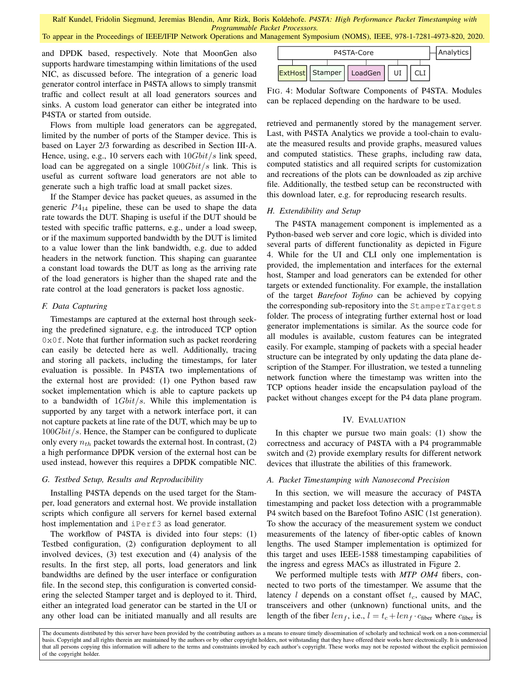To appear in the Proceedings of IEEE/IFIP Network Operations and Management Symposium (NOMS), IEEE, 978-1-7281-4973-820, 2020.

and DPDK based, respectively. Note that MoonGen also supports hardware timestamping within limitations of the used NIC, as discussed before. The integration of a generic load generator control interface in P4STA allows to simply transmit traffic and collect result at all load generators sources and sinks. A custom load generator can either be integrated into P4STA or started from outside.

Flows from multiple load generators can be aggregated, limited by the number of ports of the Stamper device. This is based on Layer 2/3 forwarding as described in Section III-A. Hence, using, e.g., 10 servers each with  $10Gbit/s$  link speed, load can be aggregated on a single  $100Gbit/s$  link. This is useful as current software load generators are not able to generate such a high traffic load at small packet sizes.

If the Stamper device has packet queues, as assumed in the generic  $P_{14}$  pipeline, these can be used to shape the data rate towards the DUT. Shaping is useful if the DUT should be tested with specific traffic patterns, e.g., under a load sweep, or if the maximum supported bandwidth by the DUT is limited to a value lower than the link bandwidth, e.g. due to added headers in the network function. This shaping can guarantee a constant load towards the DUT as long as the arriving rate of the load generators is higher than the shaped rate and the rate control at the load generators is packet loss agnostic.

#### *F. Data Capturing*

Timestamps are captured at the external host through seeking the predefined signature, e.g. the introduced TCP option  $0 \times 0$  f. Note that further information such as packet reordering can easily be detected here as well. Additionally, tracing and storing all packets, including the timestamps, for later evaluation is possible. In P4STA two implementations of the external host are provided: (1) one Python based raw socket implementation which is able to capture packets up to a bandwidth of  $1Gbit/s$ . While this implementation is supported by any target with a network interface port, it can not capture packets at line rate of the DUT, which may be up to 100Gbit/s. Hence, the Stamper can be configured to duplicate only every  $n_{th}$  packet towards the external host. In contrast, (2) a high performance DPDK version of the external host can be used instead, however this requires a DPDK compatible NIC. NK, a discussed by the best interesting of the can be interesting and interesting and all results are extended manually and all results are extended manually stated manually stated manusly and all results are Extended manu

#### *G. Testbed Setup, Results and Reproducibility*

Installing P4STA depends on the used target for the Stamper, load generators and external host. We provide installation scripts which configure all servers for kernel based external host implementation and iPerf3 as load generator.

The workflow of P4STA is divided into four steps: (1) Testbed configuration, (2) configuration deployment to all involved devices, (3) test execution and (4) analysis of the results. In the first step, all ports, load generators and link bandwidths are defined by the user interface or configuration file. In the second step, this configuration is converted considering the selected Stamper target and is deployed to it. Third, either an integrated load generator can be started in the UI or



FIG. 4: Modular Software Components of P4STA. Modules can be replaced depending on the hardware to be used.

retrieved and permanently stored by the management server. Last, with P4STA Analytics we provide a tool-chain to evaluate the measured results and provide graphs, measured values and computed statistics. These graphs, including raw data, computed statistics and all required scripts for customization and recreations of the plots can be downloaded as zip archive file. Additionally, the testbed setup can be reconstructed with this download later, e.g. for reproducing research results.

## *H. Extendibility and Setup*

The P4STA management component is implemented as a Python-based web server and core logic, which is divided into several parts of different functionality as depicted in Figure 4. While for the UI and CLI only one implementation is provided, the implementation and interfaces for the external host, Stamper and load generators can be extended for other targets or extended functionality. For example, the installation of the target *Barefoot Tofino* can be achieved by copying the corresponding sub-repository into the StamperTargets folder. The process of integrating further external host or load generator implementations is similar. As the source code for all modules is available, custom features can be integrated easily. For example, stamping of packets with a special header structure can be integrated by only updating the data plane description of the Stamper. For illustration, we tested a tunneling network function where the timestamp was written into the TCP options header inside the encapsulation payload of the packet without changes except for the P4 data plane program.

#### IV. EVALUATION

In this chapter we pursue two main goals: (1) show the correctness and accuracy of P4STA with a P4 programmable switch and (2) provide exemplary results for different network devices that illustrate the abilities of this framework.

## *A. Packet Timestamping with Nanosecond Precision*

In this section, we will measure the accuracy of P4STA timestamping and packet loss detection with a programmable P4 switch based on the Barefoot Tofino ASIC (1st generation). To show the accuracy of the measurement system we conduct measurements of the latency of fiber-optic cables of known lengths. The used Stamper implementation is optimized for this target and uses IEEE-1588 timestamping capabilities of the ingress and egress MACs as illustrated in Figure 2.

We performed multiple tests with *MTP OM4* fibers, connected to two ports of the timestamper. We assume that the latency  $l$  depends on a constant offset  $t_c$ , caused by MAC, transceivers and other (unknown) functional units, and the length of the fiber  $len_f$ , i.e.,  $l = t_c + len_f \cdot c_{fiber}$  where  $c_{fiber}$  is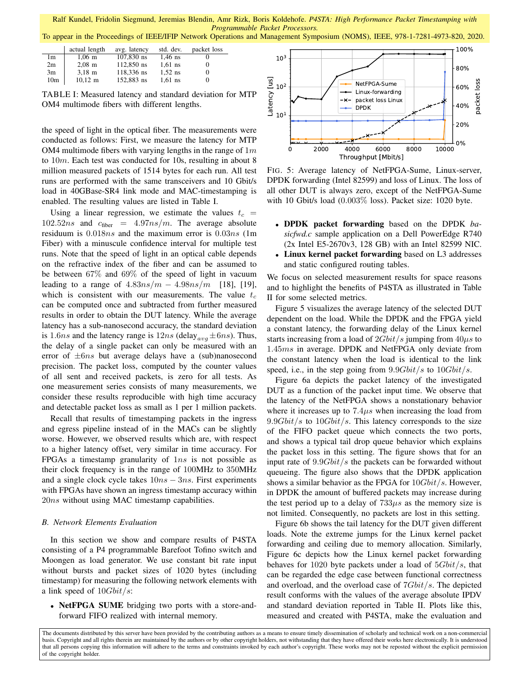To appear in the Proceedings of IEEE/IFIP Network Operations and Management Symposium (NOMS), IEEE, 978-1-7281-4973-820, 2020.

|                 | actual length         | avg. latency | std. dev. | packet loss |
|-----------------|-----------------------|--------------|-----------|-------------|
| 1m              | $1,06 \; \mathrm{m}$  | $107.830$ ns | $1,46$ ns |             |
| 2m              | $2.08$ m              | 112,850 ns   | $1.61$ ns |             |
| 3m              | $3.18 \text{ m}$      | 118.336 ns   | $1.52$ ns |             |
| 10 <sub>m</sub> | $10,12 \; \mathrm{m}$ | 152,883 ns   | $1,61$ ns |             |

TABLE I: Measured latency and standard deviation for MTP OM4 multimode fibers with different lengths.

the speed of light in the optical fiber. The measurements were conducted as follows: First, we measure the latency for MTP OM4 multimode fibers with varying lengths in the range of  $1m$ to 10m. Each test was conducted for 10s, resulting in about 8 million measured packets of 1514 bytes for each run. All test runs are performed with the same transceivers and 10 Gbit/s load in 40GBase-SR4 link mode and MAC-timestamping is enabled. The resulting values are listed in Table I.

Using a linear regression, we estimate the values  $t_c$  =  $102.52ns$  and  $c_{\text{fiber}} = 4.97ns/m$ . The average absolute residuum is 0.018ns and the maximum error is 0.03ns (1m Fiber) with a minuscule confidence interval for multiple test runs. Note that the speed of light in an optical cable depends on the refractive index of the fiber and can be assumed to be between 67% and 69% of the speed of light in vacuum leading to a range of  $4.83ns/m - 4.98ns/m$  [18], [19], which is consistent with our measurements. The value  $t_c$ can be computed once and subtracted from further measured results in order to obtain the DUT latency. While the average latency has a sub-nanosecond accuracy, the standard deviation is 1.6ns and the latency range is  $12ns$  (delay<sub>ava</sub>  $\pm$  6ns). Thus, the delay of a single packet can only be measured with an error of  $\pm 6ns$  but average delays have a (sub)nanosecond precision. The packet loss, computed by the counter values of all sent and received packets, is zero for all tests. As one measurement series consists of many measurements, we consider these results reproducible with high time accuracy and detectable packet loss as small as 1 per 1 million packets.

Recall that results of timestamping packets in the ingress and egress pipeline instead of in the MACs can be slightly worse. However, we observed results which are, with respect to a higher latency offset, very similar in time accuracy. For FPGAs a timestamp granularity of  $1ns$  is not possible as their clock frequency is in the range of 100MHz to 350MHz and a single clock cycle takes  $10ns - 3ns$ . First experiments with FPGAs have shown an ingress timestamp accuracy within 20*ns* without using MAC timestamp capabilities.

#### *B. Network Elements Evaluation*

In this section we show and compare results of P4STA consisting of a P4 programmable Barefoot Tofino switch and Moongen as load generator. We use constant bit rate input without bursts and packet sizes of 1020 bytes (including timestamp) for measuring the following network elements with a link speed of  $10Gbit/s$ :

• NetFPGA SUME bridging two ports with a store-andforward FIFO realized with internal memory.



FIG. 5: Average latency of NetFPGA-Sume, Linux-server, DPDK forwarding (Intel 82599) and loss of Linux. The loss of all other DUT is always zero, except of the NetFPGA-Sume with 10 Gbit/s load (0.003% loss). Packet size: 1020 byte.

- DPDK packet forwarding based on the DPDK *basicfwd.c* sample application on a Dell PowerEdge R740 (2x Intel E5-2670v3, 128 GB) with an Intel 82599 NIC.
- Linux kernel packet forwarding based on L3 addresses and static configured routing tables.

We focus on selected measurement results for space reasons and to highlight the benefits of P4STA as illustrated in Table II for some selected metrics.

Figure 5 visualizes the average latency of the selected DUT dependent on the load. While the DPDK and the FPGA yield a constant latency, the forwarding delay of the Linux kernel starts increasing from a load of  $2Gbit/s$  jumping from  $40\mu s$  to 1.45ms in average. DPDK and NetFPGA only deviate from the constant latency when the load is identical to the link speed, i.e., in the step going from  $9.9Gbit/s$  to  $10Gbit/s$ .

Figure 6a depicts the packet latency of the investigated DUT as a function of the packet input time. We observe that the latency of the NetFPGA shows a nonstationary behavior where it increases up to  $7.4\mu s$  when increasing the load from  $9.9Gbit/s$  to  $10Gbit/s$ . This latency corresponds to the size of the FIFO packet queue which connects the two ports, and shows a typical tail drop queue behavior which explains the packet loss in this setting. The figure shows that for an input rate of  $9.9Gbit/s$  the packets can be forwarded without queueing. The figure also shows that the DPDK application shows a similar behavior as the FPGA for  $10Gbit/s$ . However, in DPDK the amount of buffered packets may increase during the test period up to a delay of  $733\mu s$  as the memory size is not limited. Consequently, no packets are lost in this setting.

Figure 6b shows the tail latency for the DUT given different loads. Note the extreme jumps for the Linux kernel packet forwarding and ceiling due to memory allocation. Similarly, Figure 6c depicts how the Linux kernel packet forwarding behaves for  $1020$  byte packets under a load of  $5Gbit/s$ , that can be regarded the edge case between functional correctness and overload, and the overload case of  $7Gbit/s$ . The depicted result conforms with the values of the average absolute IPDV and standard deviation reported in Table II. Plots like this, measured and created with P4STA, make the evaluation and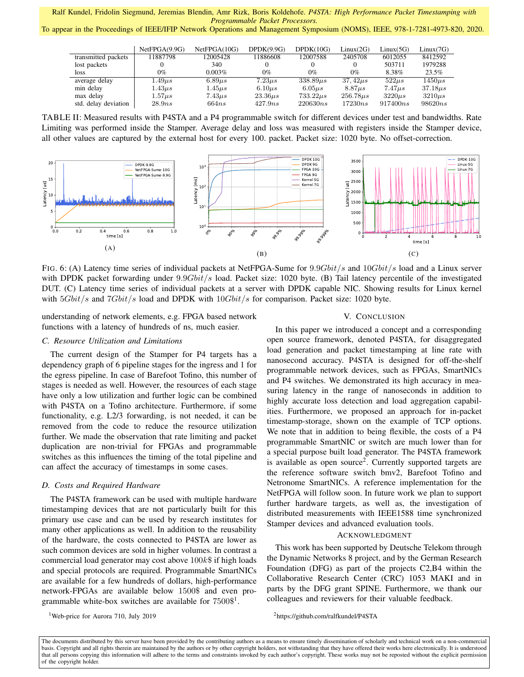To appear in the Proceedings of IEEE/IFIP Network Operations and Management Symposium (NOMS), IEEE, 978-1-7281-4973-820, 2020.

|                      | NetFPGA(9.9G) | NetFPGA(10G) | DPDK(9.9G)   | DPDK(10G)     | Linux(2G)     | Linux(5G)   | Linux(7G)    |
|----------------------|---------------|--------------|--------------|---------------|---------------|-------------|--------------|
| transmitted packets  | 11887798      | 12005428     | 11886608     | 12007588      | 2405708       | 6012055     | 8412592      |
| lost packets         |               | 340          |              |               |               | 503711      | 1979288      |
| loss                 | 0%            | 0.003%       | $0\%$        | $0\%$         | $0\%$         | 8.38%       | 23.5%        |
| average delay        | $1.49 \mu s$  | $6.89\mu s$  | $7.23\mu s$  | $338.89\mu s$ | $37.42\mu s$  | $522\mu s$  | $1450\mu s$  |
| min delay            | $1.43\mu s$   | $1.45\mu s$  | $6.10 \mu s$ | $6.05\mu s$   | $8.87 \mu s$  | $7.47\mu s$ | $37.18\mu s$ |
| max delay            | $1.57\mu s$   | $7.43\mu s$  | $23.36\mu s$ | $733.22\mu s$ | $256.78\mu s$ | $3220\mu s$ | $3210\mu s$  |
| std. delay deviation | 28.9ns        | 664ns        | 427.9ns      | 220630ns      | 17230ns       | 917400ns    | 98620ns      |

TABLE II: Measured results with P4STA and a P4 programmable switch for different devices under test and bandwidths. Rate Limiting was performed inside the Stamper. Average delay and loss was measured with registers inside the Stamper device, all other values are captured by the external host for every 100. packet. Packet size: 1020 byte. No offset-correction.



FIG. 6: (A) Latency time series of individual packets at NetFPGA-Sume for  $9.9Gbit/s$  and  $10Gbit/s$  load and a Linux server with DPDK packet forwarding under  $9.9Gbit/s$  load. Packet size: 1020 byte. (B) Tail latency percentile of the investigated DUT. (C) Latency time series of individual packets at a server with DPDK capable NIC. Showing results for Linux kernel with  $5Gbit/s$  and  $7Gbit/s$  load and DPDK with  $10Gbit/s$  for comparison. Packet size: 1020 byte.

understanding of network elements, e.g. FPGA based network functions with a latency of hundreds of ns, much easier.

## *C. Resource Utilization and Limitations*

The current design of the Stamper for P4 targets has a dependency graph of 6 pipeline stages for the ingress and 1 for the egress pipeline. In case of Barefoot Tofino, this number of stages is needed as well. However, the resources of each stage have only a low utilization and further logic can be combined with P4STA on a Tofino architecture. Furthermore, if some functionality, e.g. L2/3 forwarding, is not needed, it can be removed from the code to reduce the resource utilization further. We made the observation that rate limiting and packet duplication are non-trivial for FPGAs and programmable switches as this influences the timing of the total pipeline and can affect the accuracy of timestamps in some cases.

#### *D. Costs and Required Hardware*

The P4STA framework can be used with multiple hardware timestamping devices that are not particularly built for this primary use case and can be used by research institutes for many other applications as well. In addition to the reusability of the hardware, the costs connected to P4STA are lower as such common devices are sold in higher volumes. In contrast a commercial load generator may cost above  $100k\$  if high loads and special protocols are required. Programmable SmartNICs are available for a few hundreds of dollars, high-performance network-FPGAs are available below 1500\$ and even programmable white-box switches are available for  $7500\$ <sup>1</sup>.

<sup>1</sup>Web-price for Aurora 710, July 2019

#### V. CONCLUSION

In this paper we introduced a concept and a corresponding open source framework, denoted P4STA, for disaggregated load generation and packet timestamping at line rate with nanosecond accuracy. P4STA is designed for off-the-shelf programmable network devices, such as FPGAs, SmartNICs and P4 switches. We demonstrated its high accuracy in measuring latency in the range of nanoseconds in addition to highly accurate loss detection and load aggregation capabilities. Furthermore, we proposed an approach for in-packet timestamp-storage, shown on the example of TCP options. We note that in addition to being flexible, the costs of a P4 programmable SmartNIC or switch are much lower than for a special purpose built load generator. The P4STA framework is available as open source<sup>2</sup>. Currently supported targets are the reference software switch bmv2, Barefoot Tofino and Netronome SmartNICs. A reference implementation for the NetFPGA will follow soon. In future work we plan to support further hardware targets, as well as, the investigation of distributed measurements with IEEE1588 time synchronized Stamper devices and advanced evaluation tools.

## ACKNOWLEDGMENT

This work has been supported by Deutsche Telekom through the Dynamic Networks 8 project, and by the German Research Foundation (DFG) as part of the projects C2,B4 within the Collaborative Research Center (CRC) 1053 MAKI and in parts by the DFG grant SPINE. Furthermore, we thank our colleagues and reviewers for their valuable feedback.

<sup>2</sup>https://github.com/ralfkundel/P4STA